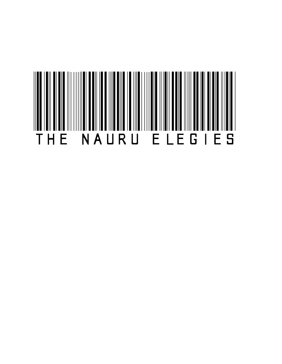## THE NAURU ELEGIES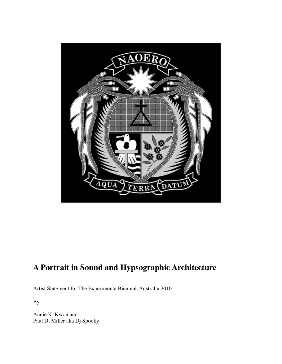

## **A Portrait in Sound and Hypsographic Architecture**

Artist Statement for The Experimenta Biennial, Australia 2010

By

Annie K. Kwon and Paul D. Miller aka Dj Spooky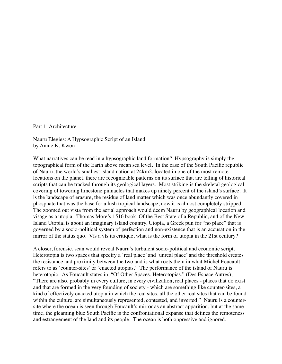Part 1: Architecture

Nauru Elegies: A Hypsographic Script of an Island by Annie K. Kwon

What narratives can be read in a hypsographic land formation? Hypsography is simply the topographical form of the Earth above mean sea level. In the case of the South Pacific republic of Nauru, the world's smallest island nation at 24km2, located in one of the most remote locations on the planet, there are recognizable patterns on its surface that are telling of historical scripts that can be tracked through its geological layers. Most striking is the skeletal geological covering of towering limestone pinnacles that makes up ninety percent of the island's surface. It is the landscape of erasure, the residue of land matter which was once abundantly covered in phosphate that was the base for a lush tropical landscape, now it is almost completely stripped. The zoomed out vista from the aerial approach would deem Nauru by geographical location and visage as a utopia. Thomas More's 1516 book, Of the Best State of a Republic, and of the New Island Utopia, is about an imaginary island country, Utopia, a Greek pun for "no place" that is governed by a socio-political system of perfection and non-existence that is an accusation in the mirror of the status quo. Vís a vís its critique, what is the form of utopia in the 21st century?

A closer, forensic, scan would reveal Nauru's turbulent socio-political and economic script. Heterotopia is two spaces that specify a 'real place' and 'unreal place' and the threshold creates the resistance and proximity between the two and is what roots them in what Michel Foucault refers to as 'counter-sites' or 'enacted utopias.' The performance of the island of Nauru is heterotopic. As Foucault states in, "Of Other Spaces, Heterotopias." (Des Espace Autres), "There are also, probably in every culture, in every civilization, real places - places that do exist and that are formed in the very founding of society - which are something like counter-sites, a kind of effectively enacted utopia in which the real sites, all the other real sites that can be found within the culture, are simultaneously represented, contested, and inverted." Nauru is a countersite where the ocean is seen through Foucault's mirror as an abstract apparition, but at the same time, the gleaming blue South Pacific is the confrontational expanse that defines the remoteness and estrangement of the land and its people. The ocean is both oppressive and ignored.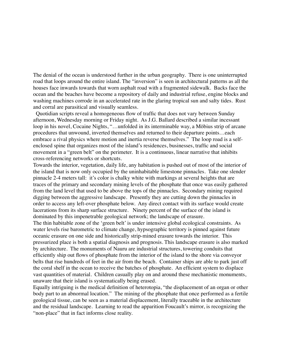The denial of the ocean is understood further in the urban geography. There is one uninterrupted road that loops around the entire island. The "inversion" is seen in architectural patterns as all the houses face inwards towards that worn asphalt road with a fragmented sidewalk. Backs face the ocean and the beaches have become a repository of daily and industrial refuse, engine blocks and washing machines corrode in an accelerated rate in the glaring tropical sun and salty tides. Rust and corral are parasitical and visually seamless.

 Quotidian scripts reveal a homogeneous flow of traffic that does not vary between Sunday afternoon, Wednesday morning or Friday night. As J.G. Ballard described a similar incessant loop in his novel, Cocaine Nights, "…unfolded in its interminable way, a Möbius strip of arcane procedures that unwound, inverted themselves and returned to their departure points…each embrace a rival physics where motion and inertia reverse themselves." The loop road is a selfenclosed spine that organizes most of the island's residences, businesses, traffic and social movement in a "green belt" on the perimeter. It is a continuous, linear narrative that inhibits cross-referencing networks or shortcuts.

Towards the interior, vegetation, daily life, any habitation is pushed out of most of the interior of the island that is now only occupied by the uninhabitable limestone pinnacles. Take one slender pinnacle 2-4 meters tall: it's color is chalky white with markings at several heights that are traces of the primary and secondary mining levels of the phosphate that once was easily gathered from the land level that used to be above the tops of the pinnacles. Secondary mining required digging between the aggressive landscape. Presently they are cutting down the pinnacles in order to access any left-over phosphate below. Any direct contact with its surface would create lacerations from its sharp surface structure. Ninety percent of the surface of the island is dominated by this impenetrable geological network; the landscape of erasure.

The thin habitable zone of the 'green belt' is under intensive global ecological constraints. As water levels rise barometric to climate change, hypsographic territory is pinned against future oceanic erasure on one side and historically strip-mined erasure towards the interior. This pressurized place is both a spatial diagnosis and prognosis. This landscape erasure is also marked by architecture. The monuments of Nauru are industrial structures, towering conduits that efficiently ship out flows of phosphate from the interior of the island to the shore via conveyor belts that rise hundreds of feet in the air from the beach. Container ships are able to park just off the coral shelf in the ocean to receive the batches of phosphate. An efficient system to displace vast quantities of material. Children casually play on and around these mechanistic monuments, unaware that their island is systematically being erased.

Equally intriguing is the medical definition of heterotopia, "the displacement of an organ or other body part to an abnormal location." The mining of the phosphate that once performed as a fertile geological tissue, can be seen as a material displacement, literally traceable in the architecture and the residual landscape. Learning to read the apparition Foucault's mirror, is recognizing the "non-place" that in fact informs close reality.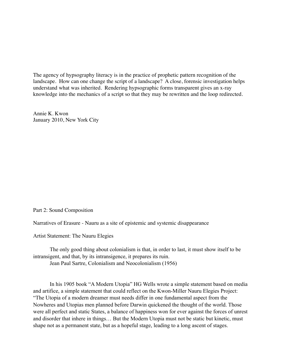The agency of hypsography literacy is in the practice of prophetic pattern recognition of the landscape. How can one change the script of a landscape? A close, forensic investigation helps understand what was inherited. Rendering hypsographic forms transparent gives an x-ray knowledge into the mechanics of a script so that they may be rewritten and the loop redirected.

Annie K. Kwon January 2010, New York City

## Part 2: Sound Composition

Narratives of Erasure - Nauru as a site of epistemic and systemic disappearance

Artist Statement: The Nauru Elegies

The only good thing about colonialism is that, in order to last, it must show itself to be intransigent, and that, by its intransigence, it prepares its ruin. Jean Paul Sartre, Colonialism and Neocolonialism (1956)

In his 1905 book "A Modern Utopia" HG Wells wrote a simple statement based on media and artifice, a simple statement that could reflect on the Kwon-Miller Nauru Elegies Project: "The Utopia of a modern dreamer must needs differ in one fundamental aspect from the Nowheres and Utopias men planned before Darwin quickened the thought of the world. Those were all perfect and static States, a balance of happiness won for ever against the forces of unrest and disorder that inhere in things… But the Modern Utopia must not be static but kinetic, must shape not as a permanent state, but as a hopeful stage, leading to a long ascent of stages.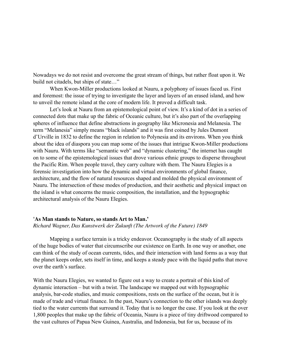Nowadays we do not resist and overcome the great stream of things, but rather float upon it. We build not citadels, but ships of state…"

When Kwon-Miller productions looked at Nauru, a polyphony of issues faced us. First and foremost: the issue of trying to investigate the layer and layers of an erased island, and how to unveil the remote island at the core of modern life. It proved a difficult task.

Let's look at Nauru from an epistemological point of view. It's a kind of dot in a series of connected dots that make up the fabric of Oceanic culture, but it's also part of the overlapping spheres of influence that define abstractions in geography like Micronesia and Melanesia. The term "Melanesia" simply means "black islands" and it was first coined by Jules Dumont d'Urville in 1832 to define the region in relation to Polynesia and its environs. When you think about the idea of diaspora you can map some of the issues that intrigue Kwon-Miller productions with Nauru. With terms like "semantic web" and "dynamic clustering," the internet has caught on to some of the epistemological issues that drove various ethnic groups to disperse throughout the Pacific Rim. When people travel, they carry culture with them. The Nauru Elegies is a forensic investigation into how the dynamic and virtual environments of global finance, architecture, and the flow of natural resources shaped and molded the physical environment of Nauru. The intersection of these modes of production, and their aesthetic and physical impact on the island is what concerns the music composition, the installation, and the hypsographic architectural analysis of the Nauru Elegies.

## **'As Man stands to Nature, so stands Art to Man.'**  *Richard Wagner, Das Kunstwerk der Zukunft (The Artwork of the Future) 1849*

Mapping a surface terrain is a tricky endeavor. Oceanography is the study of all aspects of the huge bodies of water that circumscribe our existence on Earth. In one way or another, one can think of the study of ocean currents, tides, and their interaction with land forms as a way that the planet keeps order, sets itself in time, and keeps a steady pace with the liquid paths that move over the earth's surface.

With the Nauru Elegies, we wanted to figure out a way to create a portrait of this kind of dynamic interaction – but with a twist. The landscape we mapped out with hypsographic analysis, bar-code studies, and music compositions, rests on the surface of the ocean, but it is made of trade and virtual finance. In the past, Nauru's connection to the other islands was deeply tied to the water currents that surround it. Today that is no longer the case. If you look at the over 1,800 peoples that make up the fabric of Oceania, Nauru is a piece of tiny driftwood compared to the vast cultures of Papua New Guinea, Australia, and Indonesia, but for us, because of its